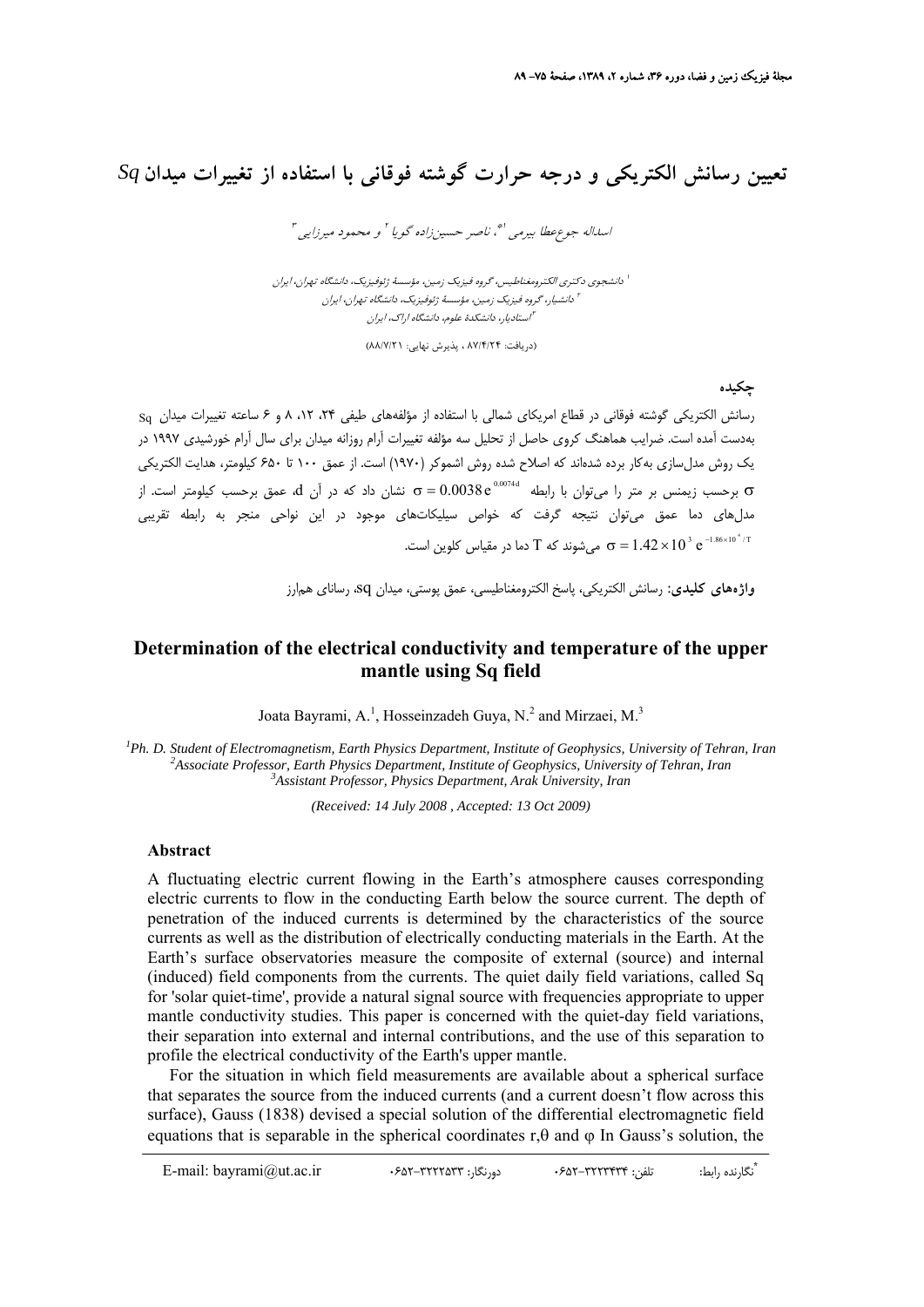## **تعيين رسانش الكتريكي و درجه حرارت گوشته فوقاني با استفاده از تغييرات ميدان** *Sq*

اسداله جوع عطا بيرمي '\*، ناصر حسين زاده گويا <sup>٢</sup> و محمود ميرزايي "

دانشجوي دكتري الكترومغناطيس، گروه فيزيك زمين، مؤسسة ژئوفيزيك، دانشگاه تهران، ايران <sup>1</sup> دانشيار، گروه فيزيك زمين، مؤسسة ژئوفيزيك، دانشگاه تهران، ايران <sup>2</sup> استاديار، دانشكدة علوم، دانشگاه اراك، ايران <sup>3</sup>

(دريافت: 87/4/24 ، پذيرش نهايي: 88/7/21)

**چكيده**

رسانش الكتريكي گوشته فوقاني در قطاع امريكاي شمالي با استفاده از مؤلفههاي طيفي ،24 ،12 8 و 6 ساعته تغييرات ميدان Sq بهدست آمده است. ضرايب هماهنگ كروي حاصل از تحليل سه مؤلفه تغييرات آرام روزانه ميدان براي سال آرام خورشيدي 1997 در يك روش مدلسازي بهكار برده شدهاند كه اصلاح شده روش اشموكر (1970) است. از عمق 100 تا 650 كيلومتر، هدايت الكتريكي  $\sigma = 0.0038 \, {\rm e}^{\,0.0074}$  برحسب زيمنس بر متر را ميوان با رابطه  $\sigma = 0.0038 \, {\rm e}^{\,0.0074}$  تشان داد كه در آن  $\,$  عمق برحسب كيلومتر است. از مدلهاي دما عمق ميتوان نتيجه گرفت كه خواص سيليكاتهاي موجود در اين نواحي منجر به رابطه تقريبي میشوند که  $\rm T$  دما در مقیاس کلوین است.  $\rm \sigma = 1.42 \times 10^{\,3}~e^{-1.86 \times 10^{\,4} / T}$ 

**واژههاي كليدي:** رسانش الكتريكي، پاسخ الكترومغناطيسي، عمق پوستي، ميدان sq، رساناي همارز

## **Determination of the electrical conductivity and temperature of the upper mantle using Sq field**

Joata Bayrami, A.<sup>1</sup>, Hosseinzadeh Guya, N.<sup>2</sup> and Mirzaei, M.<sup>3</sup>

<sup>1</sup> *Ph. D. Student of Electromagnetism, Earth Physics Department, Institute of Geophysics, University of Tehran, Iran <sup>2</sup> Aggesiate Professor, Earth Physics Department, Institute of Geophysics, University of Tehran, Iran Associate Professor, Earth Physics Department, Institute of Geophysics, University of Tehran, Iran 3 Assistant Professor, Physics Department, Arak University, Iran* 

*(Received: 14 July 2008 , Accepted: 13 Oct 2009)* 

## **Abstract**

A fluctuating electric current flowing in the Earth's atmosphere causes corresponding electric currents to flow in the conducting Earth below the source current. The depth of penetration of the induced currents is determined by the characteristics of the source currents as well as the distribution of electrically conducting materials in the Earth. At the Earth's surface observatories measure the composite of external (source) and internal (induced) field components from the currents. The quiet daily field variations, called Sq for 'solar quiet-time', provide a natural signal source with frequencies appropriate to upper mantle conductivity studies. This paper is concerned with the quiet-day field variations, their separation into external and internal contributions, and the use of this separation to profile the electrical conductivity of the Earth's upper mantle.

For the situation in which field measurements are available about a spherical surface that separates the source from the induced currents (and a current doesn't flow across this surface), Gauss (1838) devised a special solution of the differential electromagnetic field equations that is separable in the spherical coordinates r, $\theta$  and  $\phi$  In Gauss's solution, the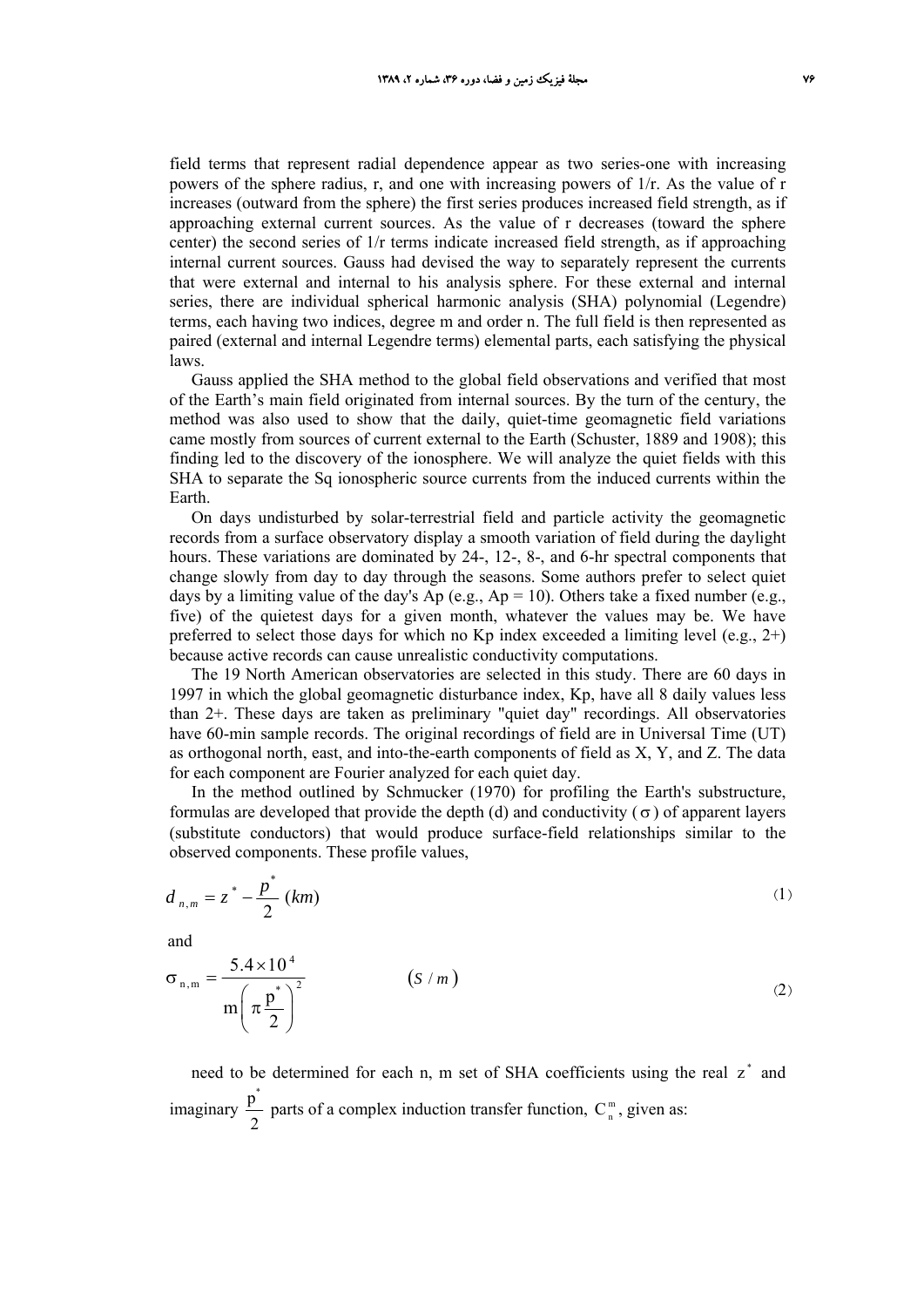field terms that represent radial dependence appear as two series-one with increasing powers of the sphere radius, r, and one with increasing powers of 1/r. As the value of r increases (outward from the sphere) the first series produces increased field strength, as if approaching external current sources. As the value of r decreases (toward the sphere center) the second series of 1/r terms indicate increased field strength, as if approaching internal current sources. Gauss had devised the way to separately represent the currents that were external and internal to his analysis sphere. For these external and internal series, there are individual spherical harmonic analysis (SHA) polynomial (Legendre) terms, each having two indices, degree m and order n. The full field is then represented as paired (external and internal Legendre terms) elemental parts, each satisfying the physical laws.

Gauss applied the SHA method to the global field observations and verified that most of the Earth's main field originated from internal sources. By the turn of the century, the method was also used to show that the daily, quiet-time geomagnetic field variations came mostly from sources of current external to the Earth (Schuster, 1889 and 1908); this finding led to the discovery of the ionosphere. We will analyze the quiet fields with this SHA to separate the Sq ionospheric source currents from the induced currents within the Earth.

On days undisturbed by solar-terrestrial field and particle activity the geomagnetic records from a surface observatory display a smooth variation of field during the daylight hours. These variations are dominated by 24-, 12-, 8-, and 6-hr spectral components that change slowly from day to day through the seasons. Some authors prefer to select quiet days by a limiting value of the day's Ap (e.g.,  $Ap = 10$ ). Others take a fixed number (e.g., five) of the quietest days for a given month, whatever the values may be. We have preferred to select those days for which no Kp index exceeded a limiting level (e.g.,  $2+)$ ) because active records can cause unrealistic conductivity computations.

The 19 North American observatories are selected in this study. There are 60 days in 1997 in which the global geomagnetic disturbance index, Kp, have all 8 daily values less than 2+. These days are taken as preliminary "quiet day" recordings. All observatories have 60-min sample records. The original recordings of field are in Universal Time (UT) as orthogonal north, east, and into-the-earth components of field as X, Y, and Z. The data for each component are Fourier analyzed for each quiet day.

In the method outlined by Schmucker (1970) for profiling the Earth's substructure, formulas are developed that provide the depth (d) and conductivity ( $\sigma$ ) of apparent layers (substitute conductors) that would produce surface-field relationships similar to the observed components. These profile values,

$$
d_{n,m} = z^* - \frac{p^*}{2} (km)
$$
 (1)

and

$$
\sigma_{n,m} = \frac{5.4 \times 10^4}{m \left(\pi \frac{p^*}{2}\right)^2}
$$
 (S/m) (2)

need to be determined for each n, m set of SHA coefficients using the real  $z^*$  and imaginary  $\frac{p^*}{2}$  parts of a complex induction transfer function,  $C_n^m$ , given as: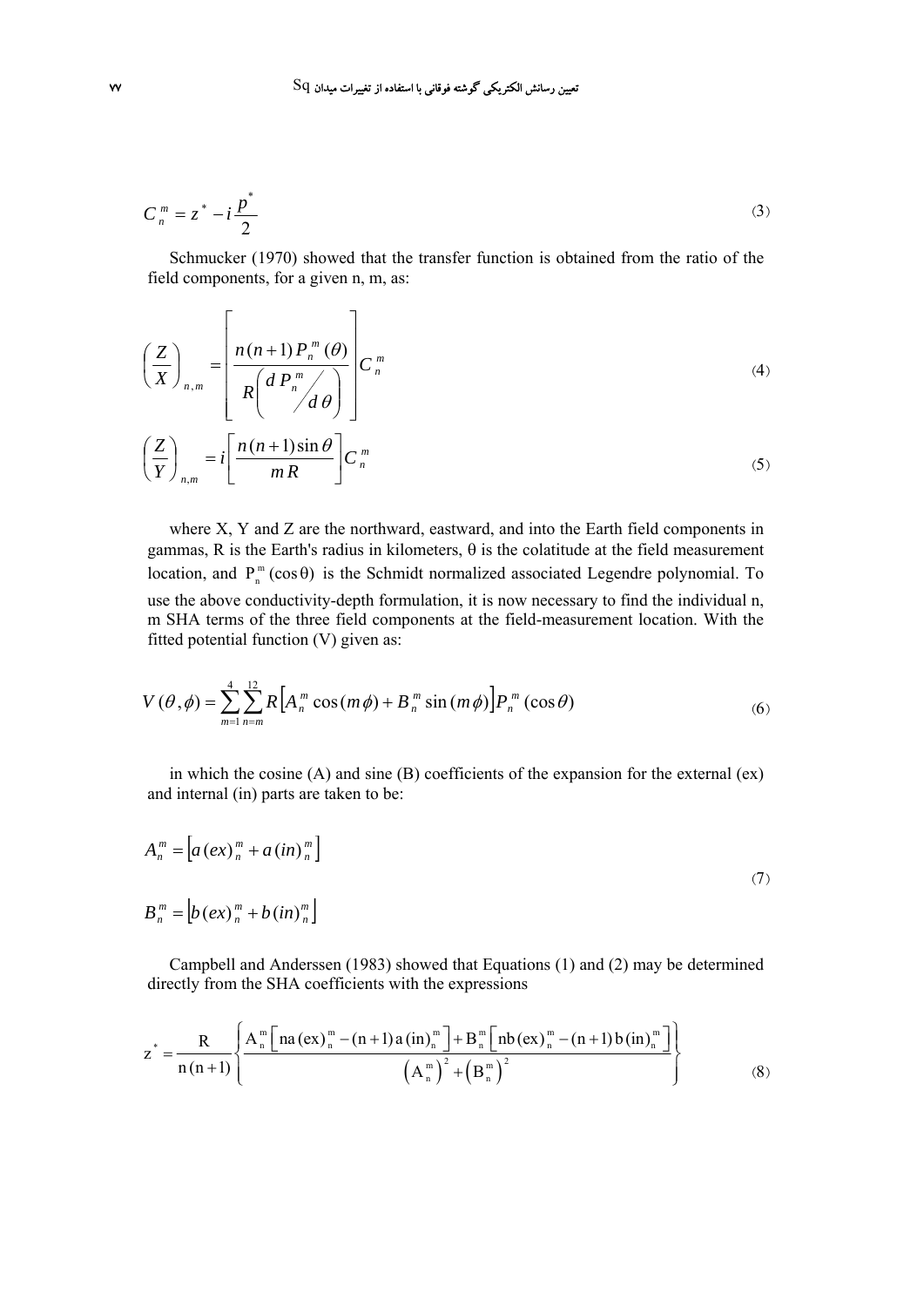$$
C_n^m = z^* - i\frac{p^*}{2} \tag{3}
$$

Schmucker (1970) showed that the transfer function is obtained from the ratio of the field components, for a given n, m, as:

$$
\left(\frac{Z}{X}\right)_{n,m} = \left[\frac{n(n+1)P_n^m(\theta)}{R\left(d\ P_n^m\middle/\right)}\right]C_n^m\tag{4}
$$
\n
$$
\left(\frac{Z}{Y}\right)_{n,m} = i\left[\frac{n(n+1)\sin\theta}{mR}\right]C_n^m\tag{5}
$$

where X, Y and Z are the northward, eastward, and into the Earth field components in gammas, R is the Earth's radius in kilometers, θ is the colatitude at the field measurement location, and  $P_n^m(\cos \theta)$  is the Schmidt normalized associated Legendre polynomial. To use the above conductivity-depth formulation, it is now necessary to find the individual n, m SHA terms of the three field components at the field-measurement location. With the fitted potential function (V) given as:

$$
V(\theta, \phi) = \sum_{m=1}^{4} \sum_{n=m}^{12} R \Big[ A_n^m \cos(m\phi) + B_n^m \sin(m\phi) \Big] P_n^m(\cos\theta)
$$
 (6)

in which the cosine (A) and sine (B) coefficients of the expansion for the external (ex) and internal (in) parts are taken to be:

$$
A_n^m = \left[ a \left( e x \right)_n^m + a \left( i n \right)_n^m \right]
$$
  
\n
$$
B_n^m = \left[ b \left( e x \right)_n^m + b \left( i n \right)_n^m \right]
$$
\n(7)

Campbell and Anderssen (1983) showed that Equations (1) and (2) may be determined directly from the SHA coefficients with the expressions

$$
z^* = \frac{R}{n(n+1)} \left\{ \frac{A_n^m \left[ na (ex)_n^m - (n+1) a (in)_n^m \right] + B_n^m \left[ nb (ex)_n^m - (n+1) b (in)_n^m \right]}{\left( A_n^m \right)^2 + \left( B_n^m \right)^2} \right\}
$$
(8)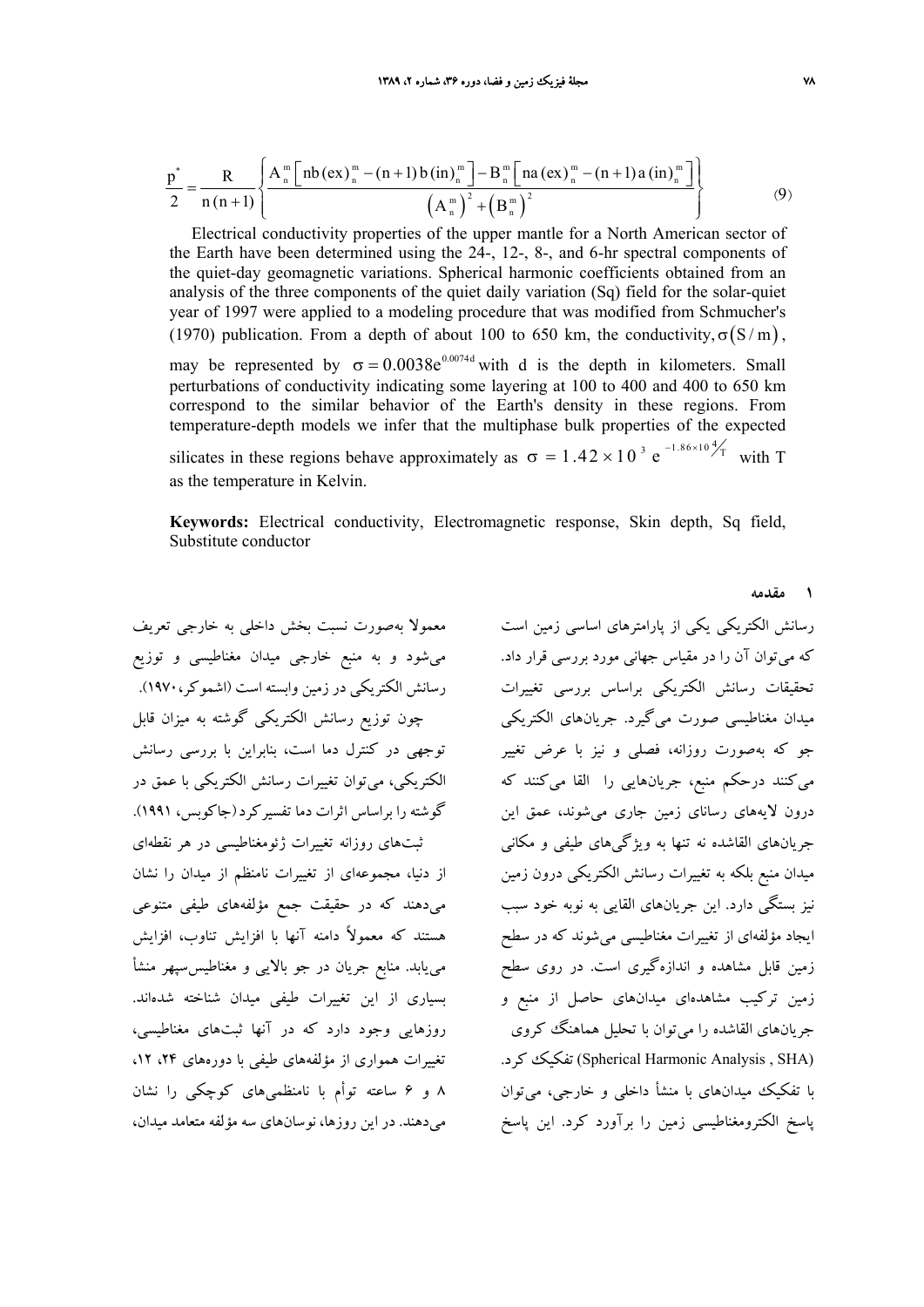$$
\frac{p^{*}}{2} = \frac{R}{n(n+1)} \left\{ \frac{A_{n}^{m} \left[ nb \left( ex\right)_{n}^{m} - (n+1) b \left( in\right)_{n}^{m} \right] - B_{n}^{m} \left[ na \left( ex\right)_{n}^{m} - (n+1) a \left( in\right)_{n}^{m} \right]}{\left( A_{n}^{m} \right)^{2} + \left( B_{n}^{m} \right)^{2}} \right\}
$$
(9)

Electrical conductivity properties of the upper mantle for a North American sector of the Earth have been determined using the 24-, 12-, 8-, and 6-hr spectral components of the quiet-day geomagnetic variations. Spherical harmonic coefficients obtained from an analysis of the three components of the quiet daily variation (Sq) field for the solar-quiet year of 1997 were applied to a modeling procedure that was modified from Schmucher's (1970) publication. From a depth of about 100 to 650 km, the conductivity,  $\sigma(S/m)$ , may be represented by  $\sigma = 0.0038e^{0.0074d}$  with d is the depth in kilometers. Small perturbations of conductivity indicating some layering at 100 to 400 and 400 to 650 km correspond to the similar behavior of the Earth's density in these regions. From temperature-depth models we infer that the multiphase bulk properties of the expected silicates in these regions behave approximately as  $\sigma = 1.42 \times 10^{-3} e^{-1.86 \times 10^{4}/T}$  with T as the temperature in Kelvin.

**Keywords:** Electrical conductivity, Electromagnetic response, Skin depth, Sq field, Substitute conductor

معمولا بهصورت نسبت بخش داخلي به خارجي تعريف ميشود و به منبع خارجي ميدان مغناطيسي و توزيع رسانش الكتريكي در زمين وابسته است (اشموكر1970،). چون توزيع رسانش الكتريكي گوشته به ميزان قابل توجهي در كنترل دما است، بنابراين با بررسي رسانش الكتريكي، ميتوان تغييرات رسانش الكتريكي با عمق در گوشته را براساس اثرات دما تفسيركرد(جاكوبس، 1991). ثبتهاي روزانه تغييرات ژئومغناطيسي در هر نقطهاي از دنيا، مجموعهاي از تغييرات نامنظم از ميدان را نشان ميدهند كه در حقيقت جمع مؤلفههاي طيفي متنوعي هستند كه معمولاً دامنه آنها با افزايش تناوب، افزايش مييابد. منابع جريان در جو بالايي و مغناطيسسپهر منشأ بسياري از اين تغييرات طيفي ميدان شناخته شدهاند. روزهايي وجود دارد كه در آنها ثبتهاي مغناطيسي، تغييرات همواري از مؤلفههاي طيفي با دورههاي ،24 ،12 8 و 6 ساعته توأم با نامنظميهاي كوچكي را نشان ميدهند. در اين روزها، نوسانهاي سه مؤلفه متعامد ميدان، رسانش الكتريكي يكي از پارامترهاي اساسي زمين است كه ميتوان آن را در مقياس جهاني مورد بررسي قرار داد. تحقيقات رسانش الكتريكي براساس بررسي تغييرات ميدان مغناطيسي صورت ميگيرد. جريانهاي الكتريكي جو كه بهصورت روزانه، فصلي و نيز با عرض تغيير ميكنند درحكم منبع، جريانهايي را القا ميكنند كه درون لايههاي رساناي زمين جاري ميشوند، عمق اين جريانهاي القاشده نه تنها به ويژگيهاي طيفي و مكاني ميدان منبع بلكه به تغييرات رسانش الكتريكي درون زمين نيز بستگي دارد. اين جريانهاي القايي به نوبه خود سبب ايجاد مؤلفهاي از تغييرات مغناطيسي ميشوند كه در سطح زمين قابل مشاهده و اندازهگيري است. در روي سطح زمين تركيب مشاهدهاي ميدانهاي حاصل از منبع و جريانهاي القاشده را ميتوان با تحليل هماهنگ كروي .كرد تفكيك) Spherical Harmonic Analysis , SHA) با تفكيك ميدانهاي با منشأ داخلي و خارجي، ميتوان پاسخ الكترومغناطيسي زمين را برآورد كرد. اين پاسخ

**1 مقدمه**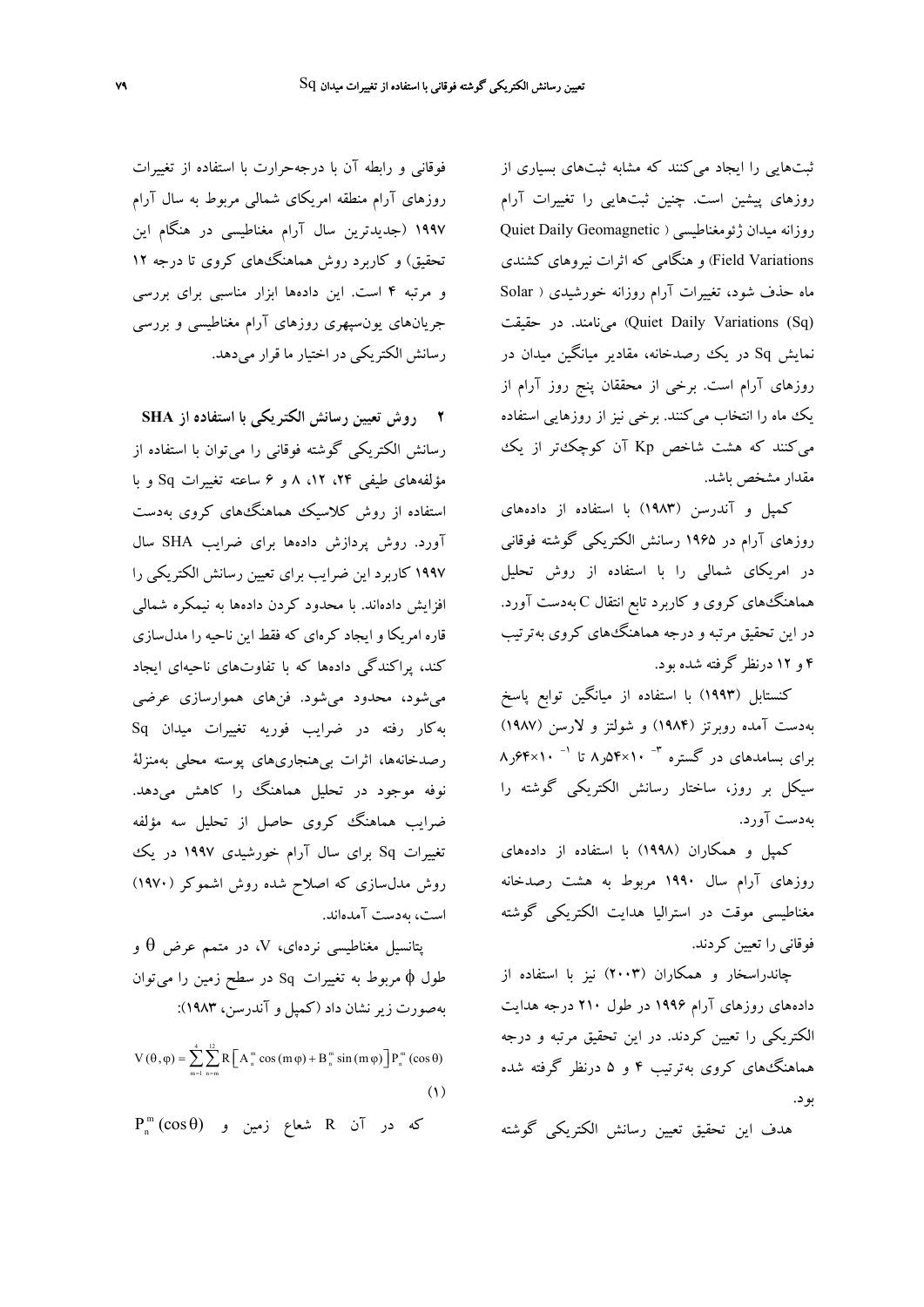ثبتهايي را ايجاد ميكنند كه مشابه ثبتهاي بسياري از روزهاي پيشين است. چنين ثبتهايي را تغييرات آرام روزانه ميدان ژئومغناطيسي ( Geomagnetic Daily Quiet Variations Field (و هنگامي كه اثرات نيروهاي كشندي ماه حذف شود، تغييرات آرام روزانه خورشيدي ( Solar Quiet Daily Variations (Sq)) مينامند. در حقيقت نمايش Sq در يك رصدخانه، مقادير ميانگين ميدان در روزهاي آرام است. برخي از محققان پنج روز آرام از يك ماه را انتخاب ميكنند. برخي نيز از روزهايي استفاده ميكنند كه هشت شاخص Kp آن كوچكتر از يك مقدار مشخص باشد.

كمپل و آندرسن (1983) با استفاده از دادههاي روزهاي آرام در 1965 رسانش الكتريكي گوشته فوقاني در امريكاي شمالي را با استفاده از روش تحليل هماهنگهاي كروي و كاربرد تابع انتقال C بهدست آورد. در اين تحقيق مرتبه و درجه هماهنگهاي كروي بهترتيب 4 و 12 درنظر گرفته شده بود.

كنستابل (1993) با استفاده از ميانگين توابع پاسخ بهدست آمده روبرتز (1984) و شولتز و لارسن (1987)  $\gamma$ ۰۲×۴×۶۴ (م) براي بسامدهاي در گستره <sup>۳-</sup> ۸۰×۶۴ ر سيكل بر روز، ساختار رسانش الكتريكي گوشته را بهدست آورد.

كمپل و همكاران (1998) با استفاده از دادههاي روزهاي آرام سال 1990 مربوط به هشت رصدخانه مغناطيسي موقت در استراليا هدايت الكتريكي گوشته فوقاني را تعيين كردند.

چاندراسخار و همكاران (2003) نيز با استفاده از دادههاي روزهاي آرام 1996 در طول 210 درجه هدايت الكتريكي را تعيين كردند. در اين تحقيق مرتبه و درجه هماهنگهاي كروي بهترتيب 4 و 5 درنظر گرفته شده بود.

هدف اين تحقيق تعيين رسانش الكتريكي گوشته

فوقاني و رابطه آن با درجهحرارت با استفاده از تغييرات روزهاي آرام منطقه امريكاي شمالي مربوط به سال آرام 1997 (جديدترين سال آرام مغناطيسي در هنگام اين تحقيق) و كاربرد روش هماهنگهاي كروي تا درجه 12 و مرتبه 4 است. اين دادهها ابزار مناسبي براي بررسي جريانهاي يونسپهري روزهاي آرام مغناطيسي و بررسي رسانش الكتريكي در اختيار ما قرار ميدهد.

**2 روش تعيين رسانش الكتريكي با استفاده از SHA** رسانش الكتريكي گوشته فوقاني را ميتوان با استفاده از مؤلفههاي طيفي ،24 ،12 8 و 6 ساعته تغييرات Sq و با استفاده از روش كلاسيك هماهنگهاي كروي بهدست آورد. روش پردازش دادهها براي ضرايب SHA سال 1997 كاربرد اين ضرايب براي تعيين رسانش الكتريكي را افزايش دادهاند. با محدود كردن دادهها به نيمكره شمالي قاره امريكا و ايجاد كرهاي كه فقط اين ناحيه را مدلسازي كند، پراكندگي دادهها كه با تفاوتهاي ناحيهاي ايجاد ميشود، محدود ميشود. فنهاي هموارسازي عرضي بهكار رفته در ضرايب فوريه تغييرات ميدان Sq رصدخانهها، اثرات بيهنجاريهاي پوسته محلي بهمنزلة نوفه موجود در تحليل هماهنگ را كاهش ميدهد. ضرايب هماهنگ كروي حاصل از تحليل سه مؤلفه تغييرات Sq براي سال آرام خورشيدي 1997 در يك روش مدلسازي كه اصلاح شده روش اشموكر (1970) است، بهدست آمدهاند.

پتانسيل مغناطيسي نردهاي، V، در متمم عرض  $\theta$  و طول φ مربوط به تغييرات Sq در سطح زمين را ميتوان بهصورت زيرنشان داد (كمپل و آندرسن، 1983):

 $V(\theta, \varphi) = \sum_{n=1}^4 \sum_{n=1}^{12} R \left[ A_n^m \cos(m \varphi) + B_n^m \sin(m \varphi) \right] P_n^m(\cos \theta)$  $m=1$   $n=m$  $= 1$  n= (1)

 $\textrm{P}_\textrm{n}^\textrm{m} \left(\textrm{cos} \hspace{0.5mm}\theta\right)$  كه در آن  $\textrm{R}$  شعاع زمين و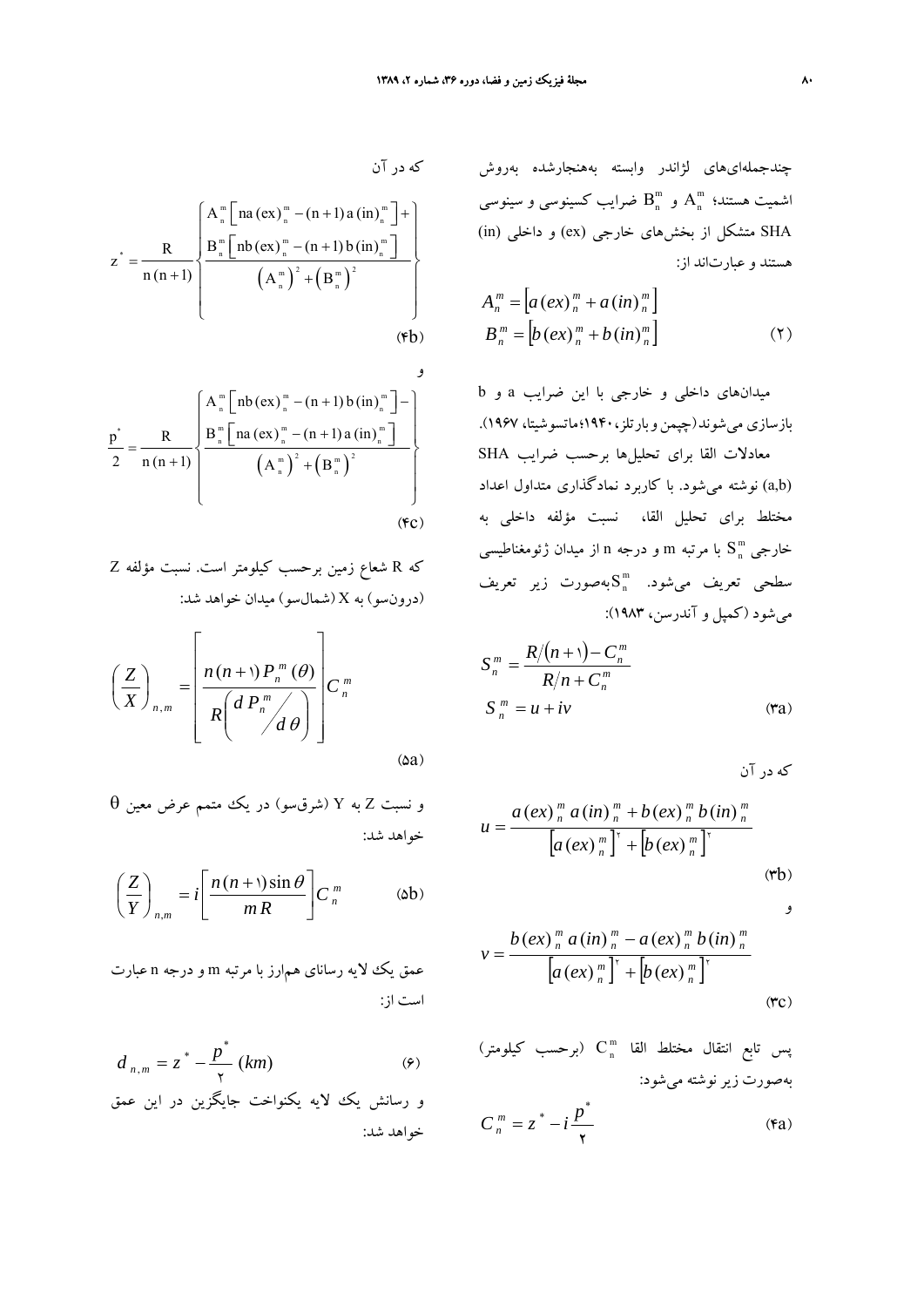*u*

چندجملهايهاي لژاندر وابسته بههنجارشده بهروش اشميت هستند؛  $\mathrm{A}^\mathrm{m}_\mathrm{n}$  و  $\mathrm{B}^\mathrm{m}_\mathrm{n}$  ضرايب كسينوسي و سينوسي SHA متشكل از بخشهاي خارجي (ex) و داخلي (in) هستند و عبارتاند از:

$$
A_n^m = \left[ a \left( e x \right)_n^m + a \left( i n \right)_n^m \right]
$$
  
\n
$$
B_n^m = \left[ b \left( e x \right)_n^m + b \left( i n \right)_n^m \right]
$$
\n
$$
(5)
$$

ميدانهاي داخلي و خارجي با اين ضرايب a و b بازسازي ميشوند(چپمنوبارتلز1940،؛ماتسوشيتا، 1967). معادلات القا براي تحليلها برحسب ضرايب SHA (b,a (نوشته ميشود. با كاربرد نمادگذاري متداول اعداد مختلط براي تحليل القا، نسبت مؤلفه داخلي به m خارجي S با مرتبه m و درجه n از ميدان ژئومغناطيسي <sup>n</sup>  $\textbf{S}_\text{n}^\text{m}$  میشود.  $\textbf{S}_\text{n}^\text{m}$ بهصورت زیر تعریف ميشود (كمپل و آندرسن، 1983):

$$
S_n^m = \frac{R/(n+1) - C_n^m}{R/n + C_n^m}
$$
  
\n
$$
S_n^m = u + iv
$$
 (7a)

$$
\sum_{n=0}^{n} a(n) \binom{m}{n} a(n) \binom{m}{n} + b(ex) \binom{m}{n} b(in) \binom{m}{n}
$$
\n
$$
= \frac{a(ex) \binom{m}{n} a(in) \binom{m}{n} + [b(ex) \binom{m}{n}]^{\dagger}}{[a(ex) \binom{m}{n} + [b(ex) \binom{m}{n}]^{\dagger}}
$$
\n(rb)

$$
\begin{matrix} 1 \\ 2 \end{matrix}
$$

$$
v = \frac{b (e x)^{\frac{m}{n}} a (in)^{\frac{m}{n}} - a (e x)^{\frac{m}{n}} b (in)^{\frac{m}{n}}}{[a (e x)^{\frac{m}{n}}]^{x} + [b (e x)^{\frac{m}{n}}]^{x}}
$$
(**r**c)

س تابع انتقال مختلط القا  $\mathrm{C}_\mathrm{n}^\mathrm{m}$  (برحسب كيلومتر) بهصورت زير نوشته ميشود:

$$
C_n^m = z^* - i \frac{p^*}{\gamma}
$$
 (6a)

$$
z^* = \frac{R}{n(n+1)} \begin{cases} A_n^m \left[ na\left( ex \right)_n^m - (n+1)a\left( in \right)_n^m \right] + \\ \frac{B_n^m \left[ nb\left( ex \right)_n^m - (n+1)b\left( in \right)_n^m \right]}{\left( A_n^m \right)^2 + \left( B_n^m \right)^2} \\ & \text{(fb)} \end{cases}
$$

$$
\frac{p^{*}}{2} = \frac{R}{n(n+1)} \left\{ \frac{A_{n}^{m} \left[ nb \left( ex \right)_{n}^{m} - (n+1) b \left( in \right)_{n}^{m} \right] - 1}{B_{n}^{m} \left[ na \left( ex \right)_{n}^{m} - (n+1) a \left( in \right)_{n}^{m} \right]}}{\left( A_{n}^{m} \right)^{2} + \left( B_{n}^{m} \right)^{2}} \right\}
$$
\n(FC)

كه R شعاع زمين برحسب كيلومتر است. نسبت مؤلفه Z (درونسو) به X (شمالسو) ميدان خواهد شد:

$$
\left(\frac{Z}{X}\right)_{n,m} = \left[\frac{n(n+1)P_n^m(\theta)}{R\left(d\,P_n^m\right)}\right]C_n^m
$$
\n(Aa)

و نسبت <sup>Z</sup> به <sup>Y</sup>) شرقسو) در يك متمم عرض معين θ خواهد شد:

$$
\left(\frac{Z}{Y}\right)_{n,m} = i \left[\frac{n(n+1)\sin\theta}{mR}\right] C_n^m \qquad \text{(ab)}
$$

عمق يك لايه رساناي همارز با مرتبه m و درجه n عبارت است از:

$$
d_{n,m} = z^* - \frac{p^*}{\gamma} (km)
$$
 (9)  
و رسانش یکه لایه یکنوانخت جایگزین در این عمق  
خواهد شد: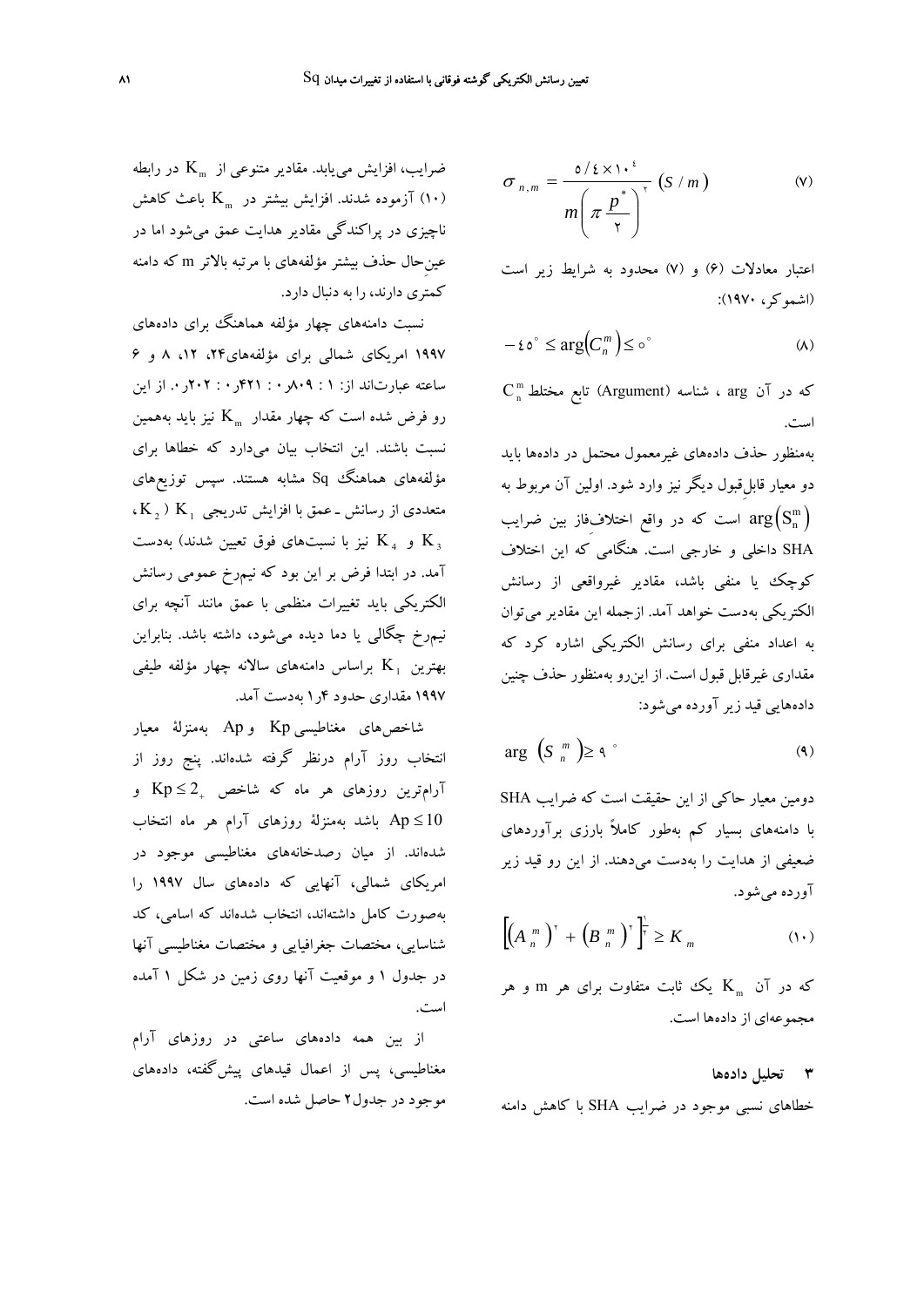$$
\sigma_{n,m} = \frac{\mathfrak{o}/\mathfrak{c} \times \mathfrak{d} \cdot \mathfrak{c}^{\mathfrak{c}}}{m \left(\pi \frac{p^*}{\mathfrak{r}}\right)^{\mathfrak{r}}} \left(S/m\right) \tag{V}
$$

اعتبار معادلات (6) و (7) محدود به شرايط زير است (اشموكر، 1970):

$$
-\epsilon \circ^{\circ} \leq \arg \Bigl( C_n^m \Bigr) \leq \circ^{\circ} \tag{A}
$$

 $C_n^m$  كه در آن  $a$ rg ، شناسه (Argument) تابع مختلط است.

بهمنظور حذف دادههاي غيرمعمول محتمل در دادهها بايد دو معيار قابلِقبول ديگر نيز وارد شود. اولين آن مربوط به است كه در واقع اختلاف $\arg\left(\text{S}_\text{n}^\text{m}\right)$ SHA داخلي و خارجي است. هنگامي كه اين اختلاف كوچك يا منفي باشد، مقادير غيرواقعي از رسانش الكتريكي بهدست خواهد آمد. ازجمله اين مقادير ميتوان به اعداد منفي براي رسانش الكتريكي اشاره كرد كه مقداري غيرقابل قبول است. از اينرو بهمنظور حذف چنين دادههايي قيد زير آورده ميشود:

$$
\arg\left(S_{n}^{m}\right) \geq \varphi^{\circ} \tag{4}
$$

دومين معيار حاكي از اين حقيقت است كه ضرايب SHA با دامنههاي بسيار كم بهطور كاملاً بارزي برآوردهاي ضعيفي از هدايت را بهدست ميدهند. از اين رو قيد زير آورده ميشود.

$$
\left[\left(A_{n}^{m}\right)^{r}+\left(B_{n}^{m}\right)^{r}\right]^{2}\geq K_{m}
$$
\n(1.)

که در آن  $_{\rm m}$  یک ثابت متفاوت برای هر m و هر مجموعهاي از دادهها است.

## **3 تحليل دادهها**

خطاهاي نسبي موجود در ضرايب SHA با كاهش دامنه

ضرايب، افزايش مي يابد. مقادير متنوعي از  $\rm{K}_{\mathfrak{m}}$  در رابطه ازموده شدند. افزايش بيشتر در  $\rm K_{\scriptscriptstyle m}$  باعث كاهش (١٠) ناچيزي در پراكندگي مقادير هدايت عمق ميشود اما در عينِحال حذف بيشتر مؤلفههاي با مرتبه بالاتر m كه دامنه كمتري دارند، را به دنبال دارد.

نسبت دامنههای چهار مؤلفه هماهنگ ببرای دادههای 1997 امريكاي شمالي براي مؤلفههاي،24 ،12 8 و 6 ساعته عبارتاند از: 1 : 809ر0 : 421ر0 : 202ر.0 از اين رو فرض شده است كه چهار مقدار  $\rm{K}_{\rm m}$  نيز بايد بههمين نسبت باشند. اين انتخاب بيان ميدارد كه خطاها براي مؤلفههاي هماهنگ Sq مشابه هستند. سپس توزيعهاي ، 2 متعددي از رسانش ـ عمق با افزايش تدريجي  $\mathrm{K}_1$  ، و  $\rm{K}_{4}$  نيز با نسبت هاي فوق تعيين شدند) بهدست  $\rm{K}_{3}$ آمد. در ابتدا فرض بر اين بود كه نيمرخ عمومي رسانش الكتريكي بايد تغييرات منظمي با عمق مانند آنچه براي نيمرخ چگالي يا دما ديده ميشود، داشته باشد. بنابراين بهترين  $\rm{K}_{1}$  براساس دامنههای سالانه چهار مؤلفه طيفي 1997 مقداري حدود 4ر1 بهدست آمد.

شاخصهاي مغناطيسيKp و Ap بهمنزلة معيار انتخاب روز آرام درنظر گرفته شدهاند. پنج روز از آرامترين روزهاى هر ماه كه شاخص  $2_+$  Kp و ≥ 10 Ap باشد بهمنزلة روزهاي آرام هر ماه انتخاب شدهاند. از ميان رصدخانههاي مغناطيسي موجود در امريكاي شمالي، آنهايي كه دادههاي سال 1997 را بهصورت كامل داشتهاند، انتخاب شدهاند كه اسامي، كد شناسايي، مختصات جغرافيايي و مختصات مغناطيسي آنها در جدول 1 و موقعيت آنها روي زمين در شكل 1 آمده است.

از بين همه دادههاي ساعتي در روزهاي آرام مغناطيسي، پس از اعمال قيدهاي پيشگفته، دادههاي موجود در جدول2 حاصل شده است.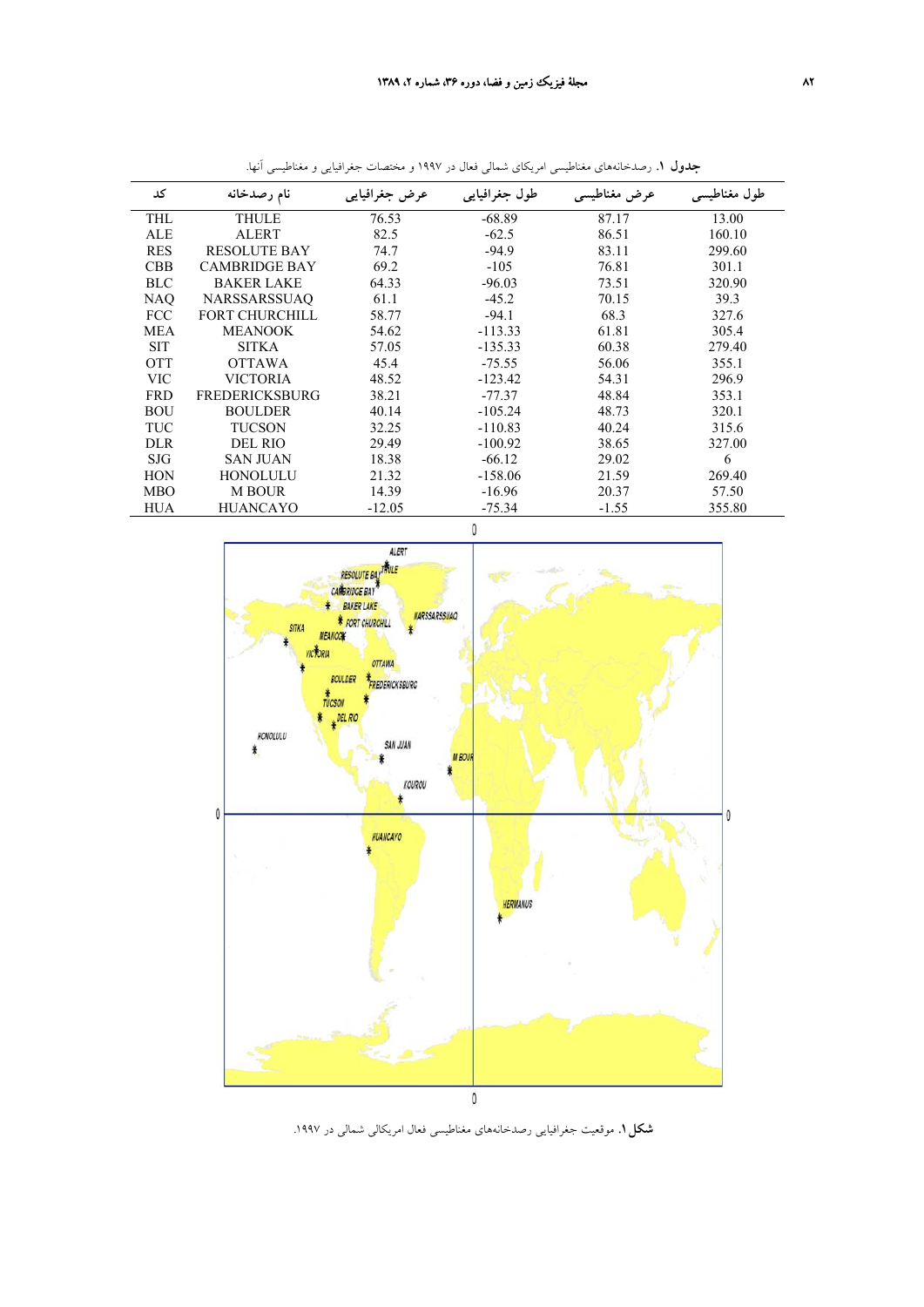| کد         | نام رصدخانه           | عرض جغرافيايي | طول جغرافیایی | عرض مغناطیسی | طول مغناطیسی |
|------------|-----------------------|---------------|---------------|--------------|--------------|
| THL        | THULE                 | 76.53         | $-68.89$      | 87.17        | 13.00        |
| <b>ALE</b> | <b>ALERT</b>          | 82.5          | $-62.5$       | 86.51        | 160.10       |
| <b>RES</b> | <b>RESOLUTE BAY</b>   | 74.7          | $-94.9$       | 83.11        | 299.60       |
| <b>CBB</b> | <b>CAMBRIDGE BAY</b>  | 69.2          | $-105$        | 76.81        | 301.1        |
| <b>BLC</b> | <b>BAKER LAKE</b>     | 64.33         | $-96.03$      | 73.51        | 320.90       |
| <b>NAO</b> | <b>NARSSARSSUAO</b>   | 61.1          | $-45.2$       | 70.15        | 39.3         |
| <b>FCC</b> | <b>FORT CHURCHILL</b> | 58.77         | $-94.1$       | 68.3         | 327.6        |
| <b>MEA</b> | <b>MEANOOK</b>        | 54.62         | $-113.33$     | 61.81        | 305.4        |
| <b>SIT</b> | <b>SITKA</b>          | 57.05         | $-135.33$     | 60.38        | 279.40       |
| <b>OTT</b> | <b>OTTAWA</b>         | 45.4          | $-75.55$      | 56.06        | 355.1        |
| <b>VIC</b> | <b>VICTORIA</b>       | 48.52         | $-123.42$     | 54.31        | 296.9        |
| <b>FRD</b> | <b>FREDERICKSBURG</b> | 38.21         | $-77.37$      | 48.84        | 353.1        |
| <b>BOU</b> | <b>BOULDER</b>        | 40.14         | $-105.24$     | 48.73        | 320.1        |
| TUC        | <b>TUCSON</b>         | 32.25         | $-110.83$     | 40.24        | 315.6        |
| <b>DLR</b> | <b>DEL RIO</b>        | 29.49         | $-100.92$     | 38.65        | 327.00       |
| <b>SJG</b> | <b>SAN JUAN</b>       | 18.38         | $-66.12$      | 29.02        | 6            |
| <b>HON</b> | HONOLULU              | 21.32         | $-158.06$     | 21.59        | 269.40       |
| <b>MBO</b> | <b>M BOUR</b>         | 14.39         | $-16.96$      | 20.37        | 57.50        |
| HUA        | <b>HUANCAYO</b>       | $-12.05$      | $-75.34$      | $-1.55$      | 355.80       |

**جدول .1** رصدخانههاي مغناطيسي امريكاي شمالي فعال در 1997 و مختصات جغرافيايي و مغناطيسي آنها.



**شكل.1** موقعيت جغرافيايي رصدخانههاي مغناطيسي فعال امريكالي شمالي در .1997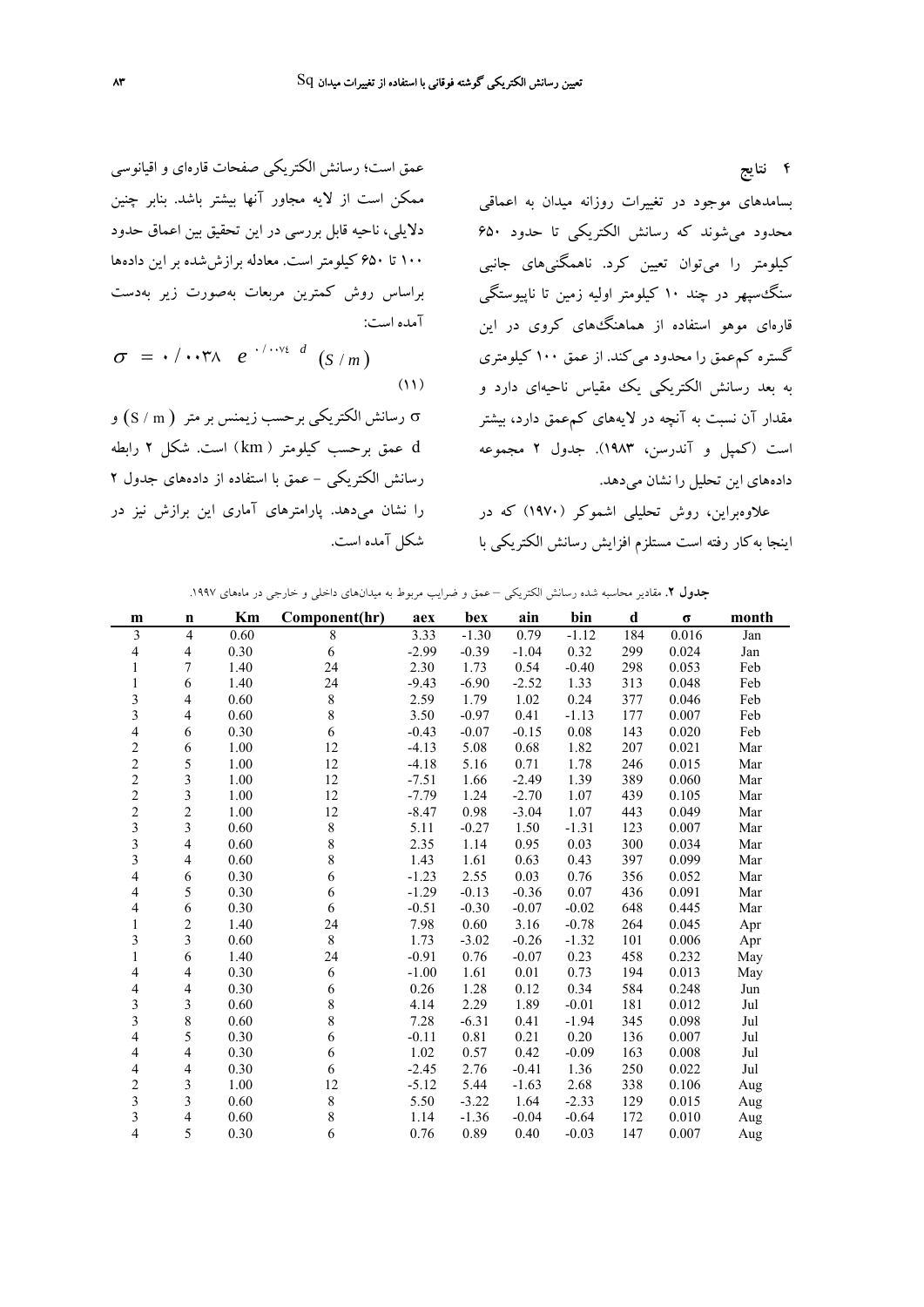**4 نتايج**

بسامدهاي موجود در تغييرات روزانه ميدان به اعماقي محدود ميشوند كه رسانش الكتريكي تا حدود 650 كيلومتر را ميتوان تعيين كرد. ناهمگنيهاي جانبي سنگسپهر در چند 10 كيلومتر اوليه زمين تا ناپيوستگي قارهاي موهو استفاده از هماهنگهاي كروي در اين گستره كمعمق را محدود ميكند. از عمق 100 كيلومتري به بعد رسانش الكتريكي يك مقياس ناحيهاي دارد و مقدار آن نسبت به آنچه در لايههاي كمعمق دارد، بيشتر است (كمپل و آندرسن، 1983). جدول 2 مجموعه دادههاي اين تحليل را نشان ميدهد.

علاوهبراين، روش تحليلي اشموكر (1970) كه در اينجا بهكار رفته است مستلزم افزايش رسانش الكتريكي با

عمق است؛ رسانش الكتريكي صفحات قارهاي و اقيانوسي ممكن است از لايه مجاور آنها بيشتر باشد. بنابر چنين دلايلي، ناحيه قابل بررسي در اين تحقيق بين اعماق حدود 100 تا 650 كيلومتر است. معادله برازششده بر اين دادهها براساس روش كمترين مربعات بهصورت زير بهدست آمده است:

$$
\sigma = \cdot / \cdots \uparrow \wedge \quad e^{- \cdot / \cdots \uparrow \cdot d} \quad (S/m)
$$
 (1)

σ رسانش الكتريكي برحسب زيمنس بر متر ( m/S (و d عمق برحسب كيلومتر ( km ( است. شكل 2 رابطه رسانش الكتريكي - عمق با استفاده از دادههاي جدول 2 را نشان ميدهد. پارامترهاي آماري اين برازش نيز در شكل آمده است.

**جدول .2** مقادير محاسبه شده رسانش الكتريكي – عمق و ضرايب مربوط به ميدانهاي داخلي و خارجي در ماههاي .1997

| m                       | $\mathbf n$    | Km   | Component(hr) | aex     | bex     | ain     | bin     | d   | σ     | month |
|-------------------------|----------------|------|---------------|---------|---------|---------|---------|-----|-------|-------|
| 3                       | $\overline{4}$ | 0.60 | 8             | 3.33    | $-1.30$ | 0.79    | $-1.12$ | 184 | 0.016 | Jan   |
| $\overline{4}$          | 4              | 0.30 | 6             | $-2.99$ | $-0.39$ | $-1.04$ | 0.32    | 299 | 0.024 | Jan   |
| 1                       | 7              | 1.40 | 24            | 2.30    | 1.73    | 0.54    | $-0.40$ | 298 | 0.053 | Feb   |
| $\mathbf{1}$            | 6              | 1.40 | 24            | $-9.43$ | $-6.90$ | $-2.52$ | 1.33    | 313 | 0.048 | Feb   |
| 3                       | 4              | 0.60 | $\,$ $\,$     | 2.59    | 1.79    | 1.02    | 0.24    | 377 | 0.046 | Feb   |
| 3                       | 4              | 0.60 | 8             | 3.50    | $-0.97$ | 0.41    | $-1.13$ | 177 | 0.007 | Feb   |
| 4                       | 6              | 0.30 | 6             | $-0.43$ | $-0.07$ | $-0.15$ | 0.08    | 143 | 0.020 | Feb   |
| $\overline{c}$          | 6              | 1.00 | 12            | $-4.13$ | 5.08    | 0.68    | 1.82    | 207 | 0.021 | Mar   |
| $\overline{c}$          | 5              | 1.00 | 12            | $-4.18$ | 5.16    | 0.71    | 1.78    | 246 | 0.015 | Mar   |
| $\overline{c}$          | 3              | 1.00 | 12            | $-7.51$ | 1.66    | $-2.49$ | 1.39    | 389 | 0.060 | Mar   |
| $\overline{c}$          | 3              | 1.00 | 12            | $-7.79$ | 1.24    | $-2.70$ | 1.07    | 439 | 0.105 | Mar   |
| $\overline{c}$          | $\overline{c}$ | 1.00 | 12            | $-8.47$ | 0.98    | $-3.04$ | 1.07    | 443 | 0.049 | Mar   |
| $\overline{\mathbf{3}}$ | 3              | 0.60 | $\,$ 8 $\,$   | 5.11    | $-0.27$ | 1.50    | $-1.31$ | 123 | 0.007 | Mar   |
| $\mathfrak{Z}$          | 4              | 0.60 | 8             | 2.35    | 1.14    | 0.95    | 0.03    | 300 | 0.034 | Mar   |
| $\mathfrak{Z}$          | 4              | 0.60 | 8             | 1.43    | 1.61    | 0.63    | 0.43    | 397 | 0.099 | Mar   |
| 4                       | 6              | 0.30 | 6             | $-1.23$ | 2.55    | 0.03    | 0.76    | 356 | 0.052 | Mar   |
| 4                       | 5              | 0.30 | 6             | $-1.29$ | $-0.13$ | $-0.36$ | 0.07    | 436 | 0.091 | Mar   |
| 4                       | 6              | 0.30 | 6             | $-0.51$ | $-0.30$ | $-0.07$ | $-0.02$ | 648 | 0.445 | Mar   |
| 1                       | $\overline{c}$ | 1.40 | 24            | 7.98    | 0.60    | 3.16    | $-0.78$ | 264 | 0.045 | Apr   |
| 3                       | 3              | 0.60 | 8             | 1.73    | $-3.02$ | $-0.26$ | $-1.32$ | 101 | 0.006 | Apr   |
| $\mathbf{1}$            | 6              | 1.40 | 24            | $-0.91$ | 0.76    | $-0.07$ | 0.23    | 458 | 0.232 | May   |
| 4                       | 4              | 0.30 | 6             | $-1.00$ | 1.61    | 0.01    | 0.73    | 194 | 0.013 | May   |
| $\overline{4}$          | 4              | 0.30 | 6             | 0.26    | 1.28    | 0.12    | 0.34    | 584 | 0.248 | Jun   |
| 3                       | 3              | 0.60 | 8             | 4.14    | 2.29    | 1.89    | $-0.01$ | 181 | 0.012 | Jul   |
| 3                       | 8              | 0.60 | 8             | 7.28    | $-6.31$ | 0.41    | $-1.94$ | 345 | 0.098 | Jul   |
| 4                       | 5              | 0.30 | 6             | $-0.11$ | 0.81    | 0.21    | 0.20    | 136 | 0.007 | Jul   |
| 4                       | 4              | 0.30 | 6             | 1.02    | 0.57    | 0.42    | $-0.09$ | 163 | 0.008 | Jul   |
| 4                       | 4              | 0.30 | 6             | $-2.45$ | 2.76    | $-0.41$ | 1.36    | 250 | 0.022 | Jul   |
| $\boldsymbol{2}$        | 3              | 1.00 | 12            | $-5.12$ | 5.44    | $-1.63$ | 2.68    | 338 | 0.106 | Aug   |
| $\mathfrak{Z}$          | 3              | 0.60 | 8             | 5.50    | $-3.22$ | 1.64    | $-2.33$ | 129 | 0.015 | Aug   |
| 3                       | 4              | 0.60 | 8             | 1.14    | $-1.36$ | $-0.04$ | $-0.64$ | 172 | 0.010 | Aug   |
| $\overline{4}$          | 5              | 0.30 | 6             | 0.76    | 0.89    | 0.40    | $-0.03$ | 147 | 0.007 | Aug   |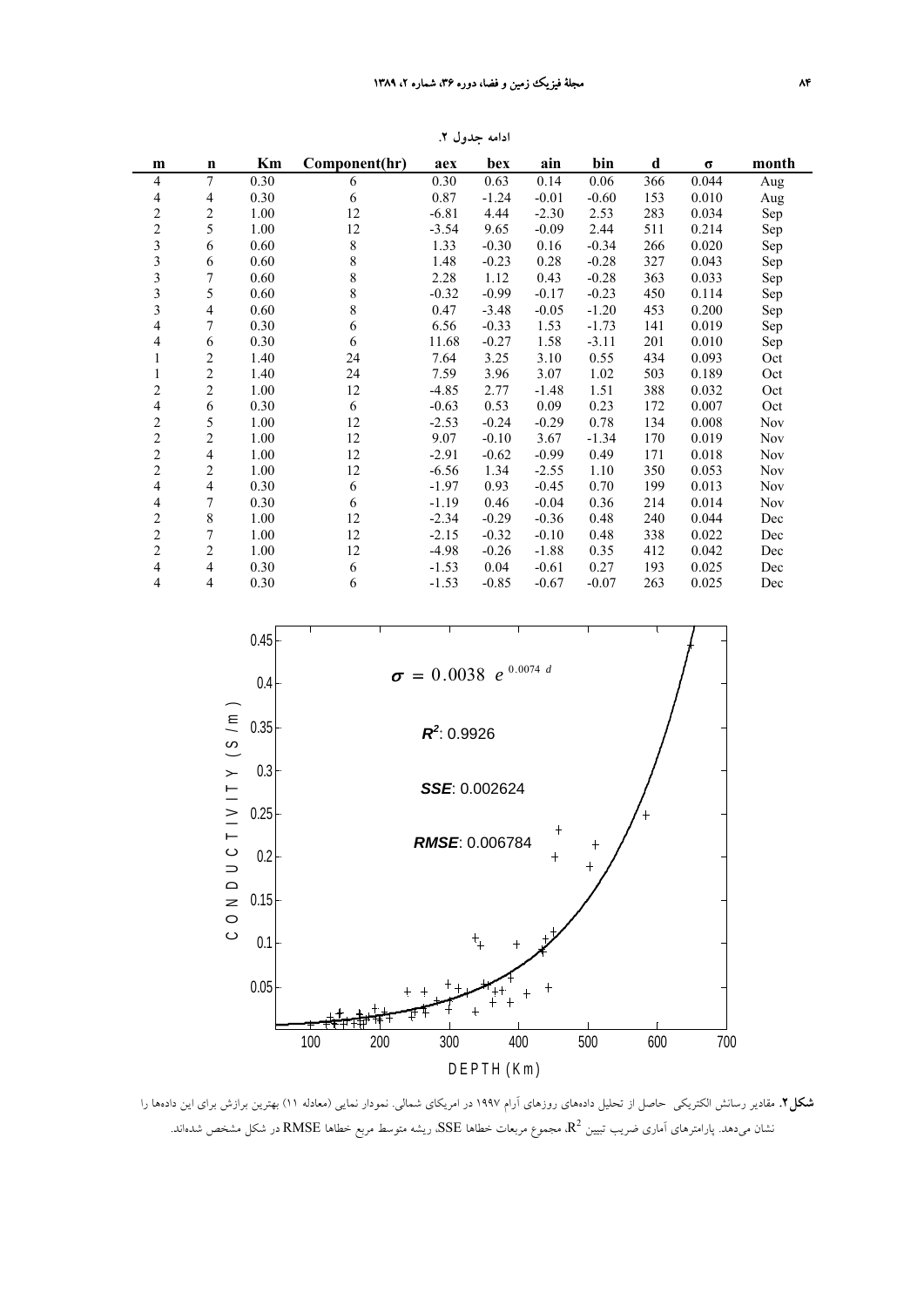| m                        | $\mathbf n$              | Km   | Component(hr) | aex     | bex     | ain     | bin     | d   | $\sigma$ | month      |
|--------------------------|--------------------------|------|---------------|---------|---------|---------|---------|-----|----------|------------|
| $\overline{4}$           | 7                        | 0.30 | 6             | 0.30    | 0.63    | 0.14    | 0.06    | 366 | 0.044    | Aug        |
| $\overline{\mathcal{A}}$ | 4                        | 0.30 | 6             | 0.87    | $-1.24$ | $-0.01$ | $-0.60$ | 153 | 0.010    | Aug        |
| $\overline{c}$           | $\overline{\mathbf{c}}$  | 1.00 | 12            | $-6.81$ | 4.44    | $-2.30$ | 2.53    | 283 | 0.034    | Sep        |
| $\overline{\mathbf{c}}$  | 5                        | 1.00 | 12            | $-3.54$ | 9.65    | $-0.09$ | 2.44    | 511 | 0.214    | Sep        |
| 3                        | 6                        | 0.60 | 8             | 1.33    | $-0.30$ | 0.16    | $-0.34$ | 266 | 0.020    | Sep        |
| $\mathfrak{Z}$           | 6                        | 0.60 | 8             | 1.48    | $-0.23$ | 0.28    | $-0.28$ | 327 | 0.043    | Sep        |
| 3                        | 7                        | 0.60 | 8             | 2.28    | 1.12    | 0.43    | $-0.28$ | 363 | 0.033    | Sep        |
| 3                        | 5                        | 0.60 | 8             | $-0.32$ | $-0.99$ | $-0.17$ | $-0.23$ | 450 | 0.114    | Sep        |
| 3                        | $\overline{4}$           | 0.60 | 8             | 0.47    | $-3.48$ | $-0.05$ | $-1.20$ | 453 | 0.200    | Sep        |
| $\overline{\mathbf{4}}$  | 7                        | 0.30 | 6             | 6.56    | $-0.33$ | 1.53    | $-1.73$ | 141 | 0.019    | Sep        |
| 4                        | 6                        | 0.30 | 6             | 11.68   | $-0.27$ | 1.58    | $-3.11$ | 201 | 0.010    | Sep        |
| 1                        | 2                        | 1.40 | 24            | 7.64    | 3.25    | 3.10    | 0.55    | 434 | 0.093    | Oct        |
| 1                        | $\overline{c}$           | 1.40 | 24            | 7.59    | 3.96    | 3.07    | 1.02    | 503 | 0.189    | Oct        |
| $\overline{c}$           | $\overline{\mathbf{c}}$  | 1.00 | 12            | $-4.85$ | 2.77    | $-1.48$ | 1.51    | 388 | 0.032    | Oct        |
| $\overline{\mathbf{4}}$  | 6                        | 0.30 | 6             | $-0.63$ | 0.53    | 0.09    | 0.23    | 172 | 0.007    | Oct        |
| $\overline{c}$           | 5                        | 1.00 | 12            | $-2.53$ | $-0.24$ | $-0.29$ | 0.78    | 134 | 0.008    | Nov        |
| $\overline{c}$           | $\overline{\mathbf{c}}$  | 1.00 | 12            | 9.07    | $-0.10$ | 3.67    | $-1.34$ | 170 | 0.019    | <b>Nov</b> |
| $\overline{c}$           | 4                        | 1.00 | 12            | $-2.91$ | $-0.62$ | $-0.99$ | 0.49    | 171 | 0.018    | Nov        |
| $\overline{c}$           | $\overline{\mathbf{c}}$  | 1.00 | 12            | $-6.56$ | 1.34    | $-2.55$ | 1.10    | 350 | 0.053    | <b>Nov</b> |
| $\overline{4}$           | $\overline{\mathcal{A}}$ | 0.30 | 6             | $-1.97$ | 0.93    | $-0.45$ | 0.70    | 199 | 0.013    | <b>Nov</b> |
| $\overline{\mathbf{4}}$  | 7                        | 0.30 | 6             | $-1.19$ | 0.46    | $-0.04$ | 0.36    | 214 | 0.014    | <b>Nov</b> |
| $\overline{c}$           | 8                        | 1.00 | 12            | $-2.34$ | $-0.29$ | $-0.36$ | 0.48    | 240 | 0.044    | Dec        |
| $\overline{c}$           | 7                        | 1.00 | 12            | $-2.15$ | $-0.32$ | $-0.10$ | 0.48    | 338 | 0.022    | Dec        |
| $\overline{c}$           | $\overline{c}$           | 1.00 | 12            | $-4.98$ | $-0.26$ | $-1.88$ | 0.35    | 412 | 0.042    | Dec        |
| $\overline{4}$           | 4                        | 0.30 | 6             | $-1.53$ | 0.04    | $-0.61$ | 0.27    | 193 | 0.025    | Dec        |
| $\overline{4}$           | 4                        | 0.30 | 6             | $-1.53$ | $-0.85$ | $-0.67$ | $-0.07$ | 263 | 0.025    | Dec        |

**ادامه جدول .2**



**شكل.2** مقادير رسانش الكتريكي حاصل از تحليل دادههاي روزهاي آرام 1997 در امريكاي شمالي. نمودار نمايي (معادله 11) بهترين برازش براي اين دادهها را نشان میدهد. پارامترهای اَماری ضریب تبیین  $\rm R^2$  مجموع مربعات خطاها  $\rm SSE$ . ریشه متوسط مربع خطاها  $\rm RMSE$  در شکل مشخص شدهاند.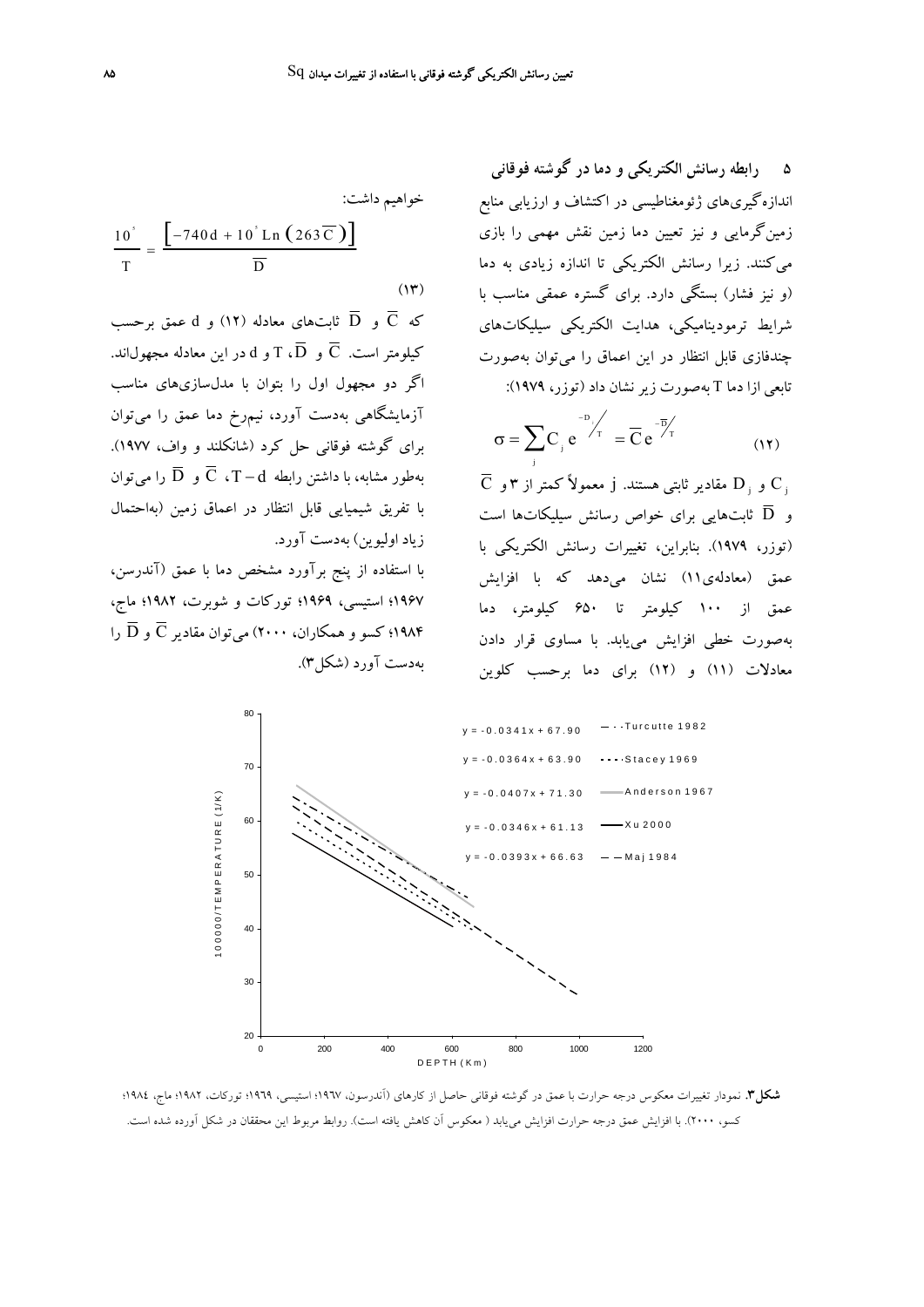**5 رابطه رسانش الكتريكي و دما در گوشته فوقاني** اندازهگيريهاي ژئومغناطيسي در اكتشاف و ارزيابي منابع زمينگرمايي و نيز تعيين دما زمين نقش مهمي را بازي ميكنند. زيرا رسانش الكتريكي تا اندازه زيادي به دما (و نيز فشار) بستگي دارد. براي گستره عمقي مناسب با شرايط ترموديناميكي، هدايت الكتريكي سيليكاتهاي چندفازي قابل انتظار در اين اعماق را ميتوان بهصورت تابعي ازا دما T بهصورت زيرنشان داد (توزر، 1979):

$$
\sigma = \sum_{i} C_i e^{-D_i/T} = \overline{C} e^{-\overline{D}/T}
$$
 (11)

 $\overline{\text{C}}$  و  $\text{D}_i$  مقادير ثابتي هستند. j معمولاً كمتر از ٣ و  $\text{C}_i$ و  $\,\overline{\rm D}\,$  ثابت $\,$ هايي براي خواص رسانش سيليكاتها است (توزر، 1979). بنابراين، تغييرات رسانش الكتريكي با عمق (معادلهي11) نشان ميدهد كه با افزايش عمق از 100 كيلومتر تا 650 كيلومتر، دما بهصورت خطي افزايش مييابد. با مساوي قرار دادن معادلات (11) و (12) براي دما برحسب كلوين

خواهيم داشت:  
\n
$$
\frac{10^{\circ}}{T} = \frac{\left[-740d + 10^{\circ} \text{Ln} \left(263 \overline{\text{C}}\right)\right]}{\overline{\text{D}}}
$$
\n(17)

که  $\overline{\text{C}}$  و  $\overline{\text{C}}$  ثابتهای معادله (۱۲) و d عمق برحسب کیلومتر است.  $\overline{\text{C}}$  و  $\overline{\text{D}}$ ،  $\overline{\text{D}}$  و d در این معادله مجهول $اند.$ اگر دو مجهول اول را بتوان با مدلسازيهاي مناسب آزمايشگاهي بهدست آورد، نيمرخ دما عمق را ميتوان براي گوشته فوقاني حل كرد (شانكلند و واف، 1977). بهطور مشابه، با داشتن رابطه  $\overline{\text{C}}$  .  $\overline{\text{C}}$  و  $\overline{\text{D}}$  را می $\overline{\text{u}}$ و با تفريق شيميايي قابل انتظار در اعماق زمين (بهاحتمال زياد اوليوين) بهدست آورد.

با استفاده از پنج برآورد مشخص دما با عمق (آندرسن، 1967؛ استيسي، 1969؛ توركات و شوبرت، 1982؛ ماج، 194۴؛ كسو و همكاران، ۲۰۰۰) مي توان مقادير  $\overline{\text{C}}$  و  $\overline{\text{D}}$  را $\overline{\text{C}}$ بهدست آورد (شكل3).



**شكل.3** نمودار تغييرات معكوس درجه حرارت با عمق در گوشته فوقاني حاصل از كارهاي (آندرسون، 1967؛ استيسي، 1969؛ توركات، 1982؛ ماج، 1984؛ كسو، 2000). با افزايش عمق درجه حرارت افزايش مييابد ( معكوس آن كاهش يافته است). روابط مربوط اين محققان در شكل آورده شده است.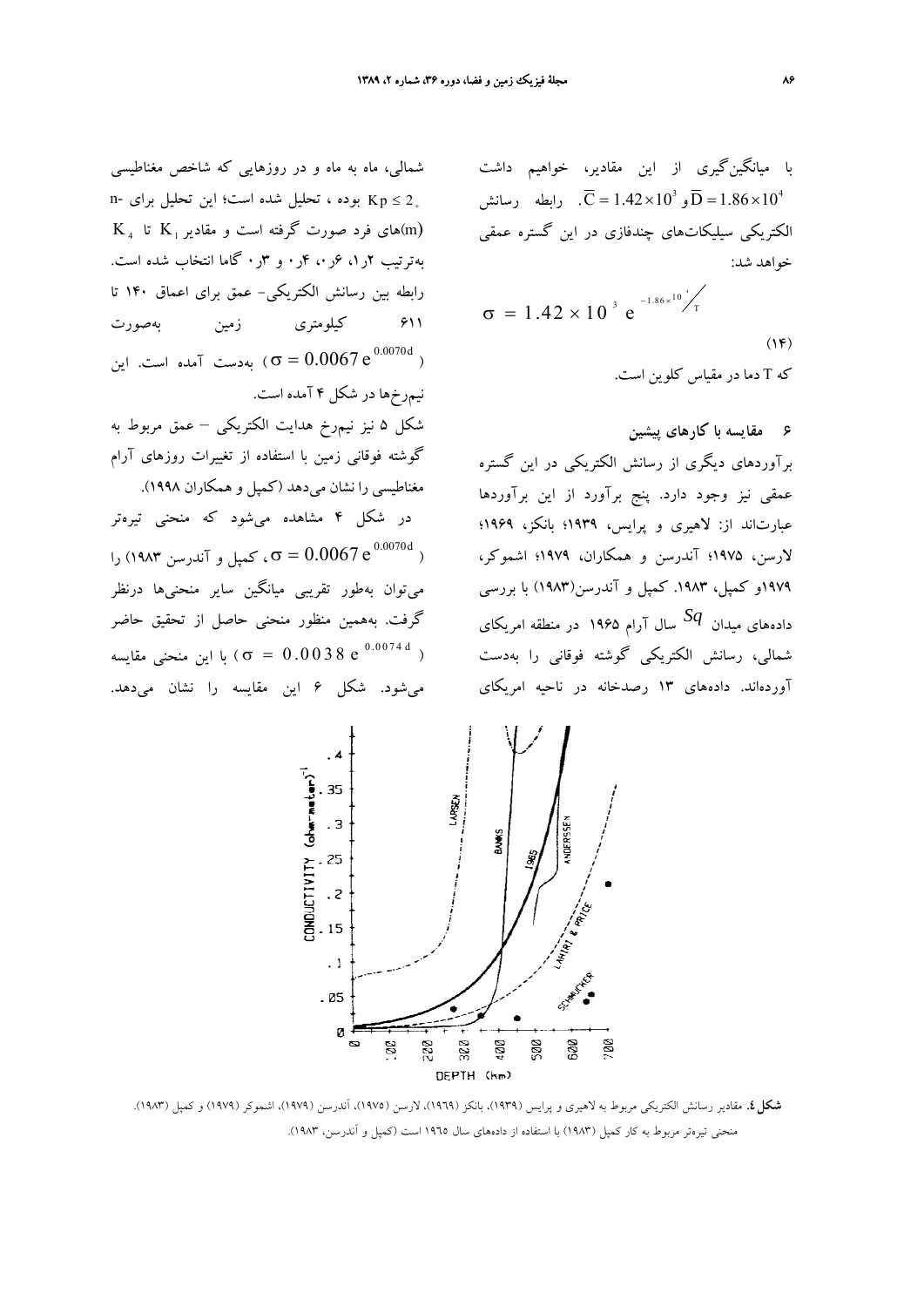با ميانگينگيري از اين مقادير، خواهيم داشت  $\overline{C} = 1.42 \times 10^{3}$  و  $\overline{D} = 1.86 \times 10^{4}$ . رابطه رسانش الكتريكي سيليكاتهاي چندفازي در اين گستره عمقي خواهد شد:

$$
\sigma = 1.42 \times 10^{-3} e^{-1.86 \times 10^{-4} / T}
$$
\n(19)

\n24

\n25

\n26

\n27

\n38

\n48

\n59

\n6

\n7

\n8

\n9

\n10

\n11

\n12

\n24

\n35

\n46

\n58

\n6

\n7

\n8

\n9

\n10

\n11

\n12

\n13

\n14

\n15

\n16

\n17

\n18

\n19

\n11

\n14

\n15

\n16

\n18

\n19

\n19

\n11

\n14

\n15

\n16

\n18

\n19

\n19

\n11

\n14

\n15

\n16

\n18

\n19

\n19

\n11

\n11

\n12

\n14

\n15

\n16

\n18

\n19

\n19

\n11

\n11

\n12

\n13

\n14

\n15

\n16

\n17

\n18

\n19

\n19

\n11

\n11

\n12

\n13

\n14

\n15

\n16

\n18

\n19

\n19

\n11

\n11

\n12

\n13

\n14

\n15

\n16

\n1

**6 مقايسه با كارهاي پيشين** برآوردهاي ديگري از رسانش الكتريكي در اين گستره عمقي نيز وجود دارد. پنج برآورد از اين برآوردها عبارتاند از: لاهيري و پرايس، 1939؛ بانكز، 1969؛ لارسن، 1975؛ آندرسن و همكاران، 1979؛ اشموكر، .<br>۱۹۷۹و كمپل، ۱۹۸۳. كمپل و آندرسن(۱۹۸۳) با بررسي سال آرام <sup>1965</sup> در منطقه امريكاي *Sq* دادههاي ميدان شمالي، رسانش الكتريكي گوشته فوقاني را بهدست آوردهاند. دادههاي 13 رصدخانه در ناحيه امريكاي

شمالي، ماه به ماه و در روزهايي كه شاخص مغناطيسي  $n-$  بوده ، تحليل شده است؛ اين تحليل براي −n  $Kp \leq 2_+$  $K_{\text{a}}$  های فرد صورت گرفته است و مقادیر  $K_{\text{b}}$  تا  $\text{m}$ بهترتيب 2ر،1 6ر،0 4ر0 و 3ر0 گاما انتخاب شده است. رابطه بين رسانش الكتريكي- عمق براي اعماق 140 تا 611 كيلومتري زمين بهصورت بهدست آمده است. اين  $\sigma = 0.0067 \, \mathrm{e}^{\,0.0070 \mathrm{d}}$  ) نيمرخها در شكل 4 آمده است. شكل 5 نيز نيمرخ هدايت الكتريكي – عمق مربوط به گوشته فوقاني زمين با استفاده از تغييرات روزهاي آرام مغناطيسي را نشان ميدهد (كمپل و همكاران 1998). در شكل 4 مشاهده ميشود كه منحني تيرهتر ، کمپل و آندرسن ۱۹۸۳) را $\sigma = 0.0067\,{\rm e}^{\,0.0070\rm d}$  ( ميتوان بهطور تقريبي ميانگين ساير منحنيها درنظر گرفت. بههمين منظور منحني حاصل از تحقيق حاضر با اين منحنى مقايسه (  $\sigma~=~0.0038~{\rm e}^{-0.0074~{\rm d}}$  ) ميشود. شكل 6 اين مقايسه را نشان ميدهد.



**شكل.4** مقادير رسانش الكتريكي مربوط به لاهيري و پرايس (1939)، بانكز (1969)، لارسن (1975)، آندرسن (1979)، اشموكر (1979) و كمپل (1983). منحني تيرهتر مربوط به كار كمپل (1983) با استفاده از دادههاي سال 1965 است (كمپل و آندرسن، 1983).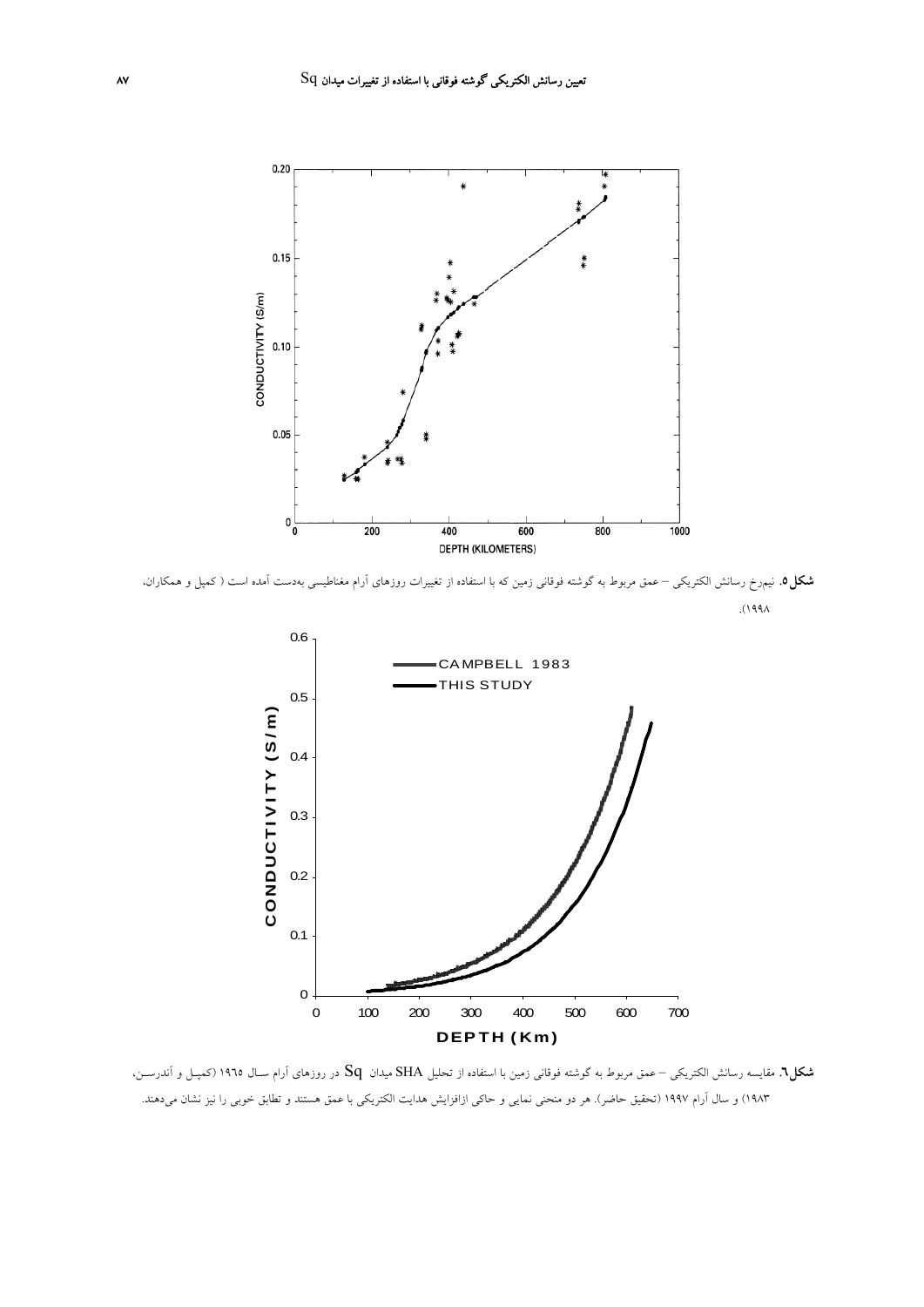

**شكل.6** مقايسه رسانش الكتريكي – عمق مربوط به گوشته فوقاني زمين با استفاده از تحليل SHA ميدان Sq در روزهاي آرام سـال 1965 (كمپـل <sup>و</sup> آندرسـن، 1983) و سال آرام 1997 (تحقيق حاضر). هر دو منحني نمايي و حاكي ازافزايش هدايت الكتريكي با عمق هستند و تطابق خوبي را نيز نشان ميدهند.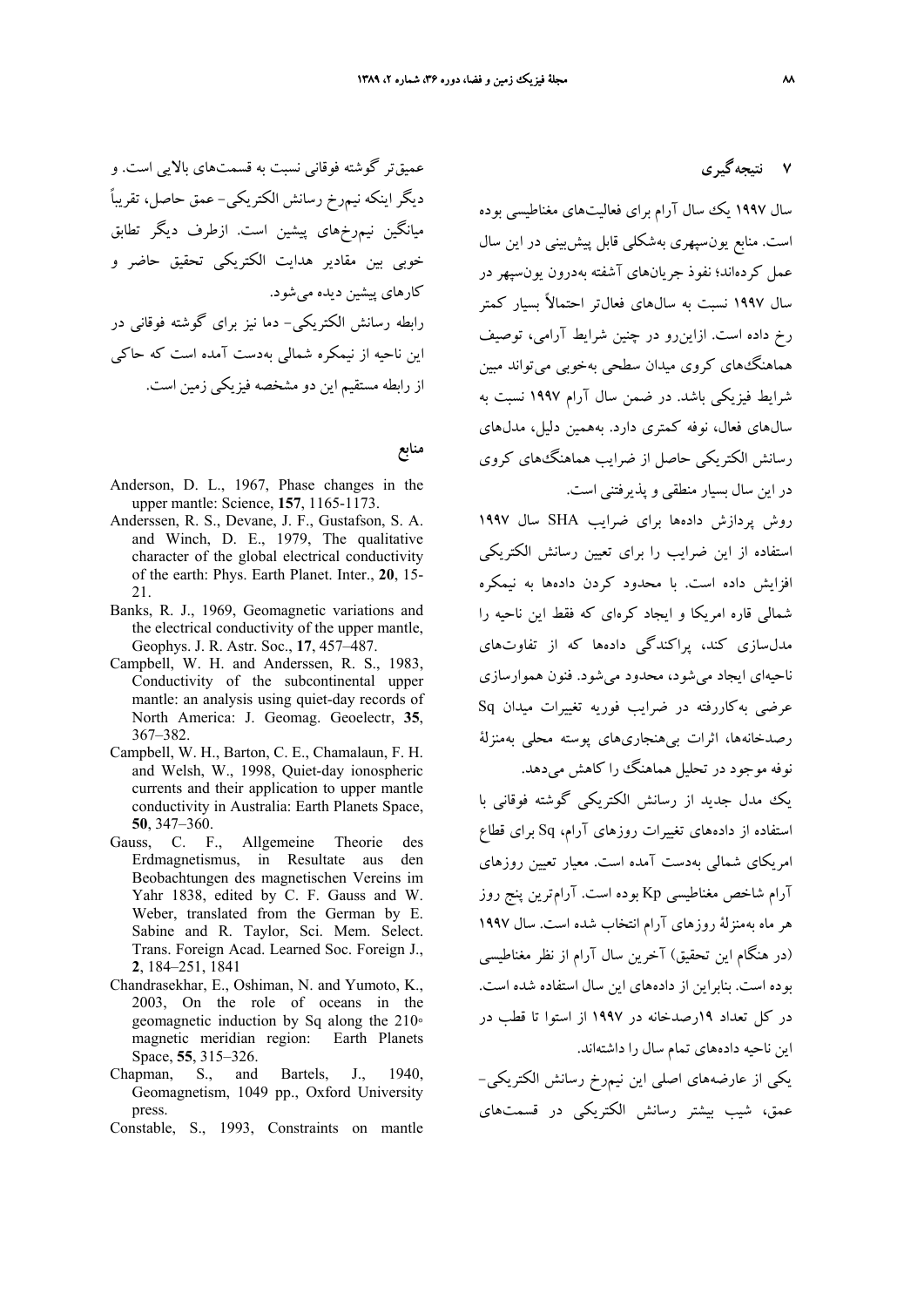عميقتر گوشته فوقاني نسبت به قسمتهاي بالايي است. و ديگر اينكه نيمرخ رسانش الكتريكي- عمق حاصل، ً تقريبا ميانگين نيمرخهاي پيشين است. ازطرف ديگر تطابق خوبي بين مقادير هدايت الكتريكي تحقيق حاضر و كارهاي پيشين ديده ميشود. رابطه رسانش الكتريكي- دما نيز براي گوشته فوقاني در اين ناحيه از نيمكره شمالي بهدست آمده است كه حاكي از رابطه مستقيم اين دو مشخصه فيزيكي زمين است.

**منابع**

- Anderson, D. L., 1967, Phase changes in the upper mantle: Science, **157**, 1165-1173.
- Anderssen, R. S., Devane, J. F., Gustafson, S. A. and Winch, D. E., 1979, The qualitative character of the global electrical conductivity of the earth: Phys. Earth Planet. Inter., **20**, 15- 21.
- Banks, R. J., 1969, Geomagnetic variations and the electrical conductivity of the upper mantle, Geophys. J. R. Astr. Soc., **17**, 457–487.
- Campbell, W. H. and Anderssen, R. S., 1983, Conductivity of the subcontinental upper mantle: an analysis using quiet-day records of North America: J. Geomag. Geoelectr, **35**, 367–382.
- Campbell, W. H., Barton, C. E., Chamalaun, F. H. and Welsh, W., 1998, Quiet-day ionospheric currents and their application to upper mantle conductivity in Australia: Earth Planets Space, **50**, 347–360.
- Gauss, C. F., Allgemeine Theorie des Erdmagnetismus, in Resultate aus den Beobachtungen des magnetischen Vereins im Yahr 1838, edited by C. F. Gauss and W. Weber, translated from the German by E. Sabine and R. Taylor, Sci. Mem. Select. Trans. Foreign Acad. Learned Soc. Foreign J., **2**, 184–251, 1841
- Chandrasekhar, E., Oshiman, N. and Yumoto, K., 2003, On the role of oceans in the geomagnetic induction by Sq along the 210∘ magnetic meridian region: Earth Planets Space, **55**, 315–326.
- Chapman, S., and Bartels, J., 1940, Geomagnetism, 1049 pp., Oxford University press.
- Constable, S., 1993, Constraints on mantle

**7 نتيجهگيري**

سال 1997 يك سال آرام براي فعاليتهاي مغناطيسي بوده است. منابع يونسپهري بهشكلي قابل پيشبيني در اين سال عمل كردهاند؛ نفوذ جريانهاي آشفته بهدرون يونسپهر در سال 1997 نسبت به سالهاي فعالتر احتمالاً بسيار كمتر رخ داده است. ازاينرو در چنين شرايط آرامي، توصيف هماهنگهاي كروي ميدان سطحي بهخوبي ميتواند مبين شرايط فيزيكي باشد. در ضمن سال آرام 1997 نسبت به سالهاي فعال، نوفه كمتري دارد. بههمين دليل، مدلهاي رسانش الكتريكي حاصل از ضرايب هماهنگهاي كروي در اين سال بسيار منطقي و پذيرفتني است.

روش پردازش دادهها براي ضرايب SHA سال 1997 استفاده از اين ضرايب را براي تعيين رسانش الكتريكي افزايش داده است. با محدود كردن دادهها به نيمكره شمالي قاره امريكا و ايجاد كرهاي كه فقط اين ناحيه را مدلسازي كند، پراكندگي دادهها كه از تفاوتهاي ناحيهاي ايجاد ميشود، محدود ميشود. فنون هموارسازي عرضي بهكاررفته در ضرايب فوريه تغييرات ميدان Sq رصدخانهها، اثرات بيهنجاريهاي پوسته محلي بهمنزلة نوفه موجود در تحليل هماهنگ را كاهش مي دهد.

يك مدل جديد از رسانش الكتريكي گوشته فوقاني با استفاده از دادههاي تغييرات روزهاي آرام، Sq براي قطاع امريكاي شمالي بهدست آمده است. معيار تعيين روزهاي آرام شاخص مغناطيسي Kp بوده است. آرامترين پنج روز هر ماه بهمنزلة روزهاي آرام انتخاب شده است. سال 1997 (در هنگام اين تحقيق) آخرين سال آرام از نظر مغناطيسي بوده است. بنابراين از دادههاي اين سال استفاده شده است. در كل تعداد 19رصدخانه در 1997 از استوا تا قطب در اين ناحيه دادههاي تمام سال را داشتهاند.

يكي از عارضههاي اصلي اين نيمرخ رسانش الكتريكي- عمق، شيب بيشتر رسانش الكتريكي در قسمتهاي